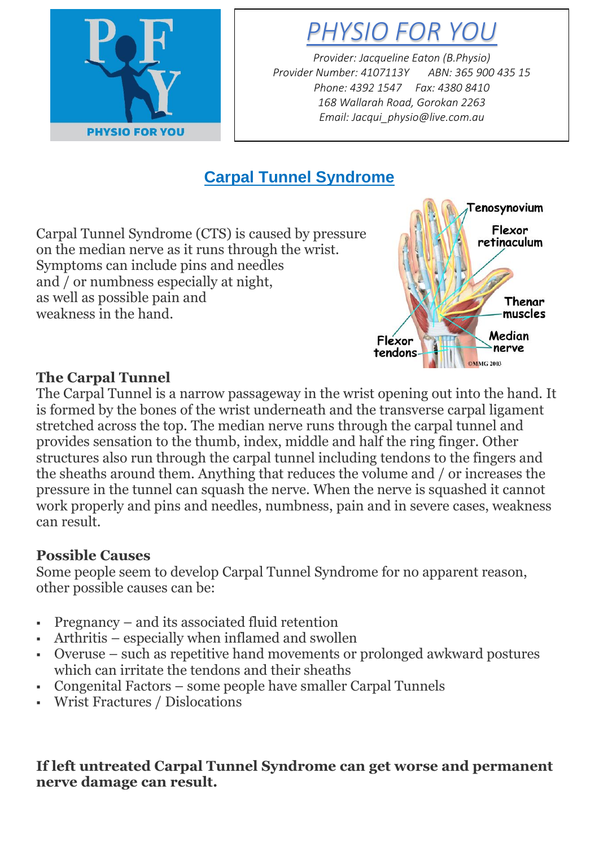

*PHYSIO FOR YOU*

*Provider: Jacqueline Eaton (B.Physio) Provider Number: 4107113Y ABN: 365 900 435 15 Phone: 4392 1547 Fax: 4380 8410 168 Wallarah Road, Gorokan 2263 Email: Jacqui\_physio@live.com.au*

# **Carpal Tunnel Syndrome**

Carpal Tunnel Syndrome (CTS) is caused by pressure on the median nerve as it runs through the wrist. Symptoms can include pins and needles and / or numbness especially at night, as well as possible pain and weakness in the hand.



## **The Carpal Tunnel**

The Carpal Tunnel is a narrow passageway in the wrist opening out into the hand. It is formed by the bones of the wrist underneath and the transverse carpal ligament stretched across the top. The median nerve runs through the carpal tunnel and provides sensation to the thumb, index, middle and half the ring finger. Other structures also run through the carpal tunnel including tendons to the fingers and the sheaths around them. Anything that reduces the volume and / or increases the pressure in the tunnel can squash the nerve. When the nerve is squashed it cannot work properly and pins and needles, numbness, pain and in severe cases, weakness can result.

## **Possible Causes**

Some people seem to develop Carpal Tunnel Syndrome for no apparent reason, other possible causes can be:

- Pregnancy and its associated fluid retention
- Arthritis especially when inflamed and swollen
- Overuse such as repetitive hand movements or prolonged awkward postures which can irritate the tendons and their sheaths
- Congenital Factors some people have smaller Carpal Tunnels
- Wrist Fractures / Dislocations

#### **If left untreated Carpal Tunnel Syndrome can get worse and permanent nerve damage can result.**